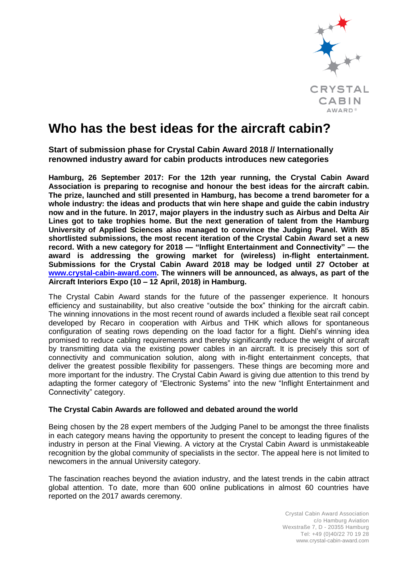

# **Who has the best ideas for the aircraft cabin?**

**Start of submission phase for Crystal Cabin Award 2018 // Internationally renowned industry award for cabin products introduces new categories**

**Hamburg, 26 September 2017: For the 12th year running, the Crystal Cabin Award Association is preparing to recognise and honour the best ideas for the aircraft cabin. The prize, launched and still presented in Hamburg, has become a trend barometer for a whole industry: the ideas and products that win here shape and guide the cabin industry now and in the future. In 2017, major players in the industry such as Airbus and Delta Air Lines got to take trophies home. But the next generation of talent from the Hamburg University of Applied Sciences also managed to convince the Judging Panel. With 85 shortlisted submissions, the most recent iteration of the Crystal Cabin Award set a new record. With a new category for 2018 — "Inflight Entertainment and Connectivity" — the award is addressing the growing market for (wireless) in-flight entertainment. Submissions for the Crystal Cabin Award 2018 may be lodged until 27 October at [www.crystal-cabin-award.com.](http://www.crystal-cabin-award.com/) The winners will be announced, as always, as part of the Aircraft Interiors Expo (10 – 12 April, 2018) in Hamburg.**

The Crystal Cabin Award stands for the future of the passenger experience. It honours efficiency and sustainability, but also creative "outside the box" thinking for the aircraft cabin. The winning innovations in the most recent round of awards included a flexible seat rail concept developed by Recaro in cooperation with Airbus and THK which allows for spontaneous configuration of seating rows depending on the load factor for a flight. Diehl's winning idea promised to reduce cabling requirements and thereby significantly reduce the weight of aircraft by transmitting data via the existing power cables in an aircraft. It is precisely this sort of connectivity and communication solution, along with in-flight entertainment concepts, that deliver the greatest possible flexibility for passengers. These things are becoming more and more important for the industry. The Crystal Cabin Award is giving due attention to this trend by adapting the former category of "Electronic Systems" into the new "Inflight Entertainment and Connectivity" category.

# **The Crystal Cabin Awards are followed and debated around the world**

Being chosen by the 28 expert members of the Judging Panel to be amongst the three finalists in each category means having the opportunity to present the concept to leading figures of the industry in person at the Final Viewing. A victory at the Crystal Cabin Award is unmistakeable recognition by the global community of specialists in the sector. The appeal here is not limited to newcomers in the annual University category.

The fascination reaches beyond the aviation industry, and the latest trends in the cabin attract global attention. To date, more than 600 online publications in almost 60 countries have reported on the 2017 awards ceremony.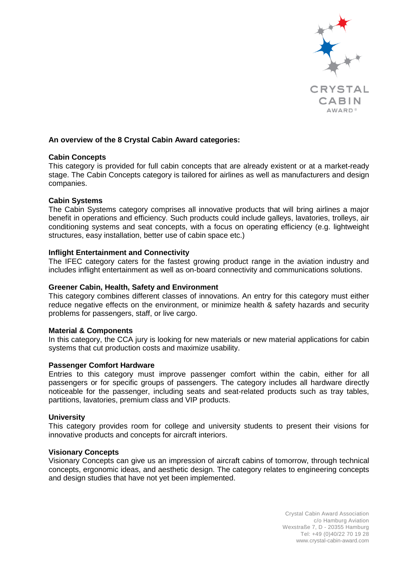

# **An overview of the 8 Crystal Cabin Award categories:**

## **Cabin Concepts**

This category is provided for full cabin concepts that are already existent or at a market-ready stage. The Cabin Concepts category is tailored for airlines as well as manufacturers and design companies.

## **Cabin Systems**

The Cabin Systems category comprises all innovative products that will bring airlines a major benefit in operations and efficiency. Such products could include galleys, lavatories, trolleys, air conditioning systems and seat concepts, with a focus on operating efficiency (e.g. lightweight structures, easy installation, better use of cabin space etc.)

## **Inflight Entertainment and Connectivity**

The IFEC category caters for the fastest growing product range in the aviation industry and includes inflight entertainment as well as on-board connectivity and communications solutions.

## **Greener Cabin, Health, Safety and Environment**

This category combines different classes of innovations. An entry for this category must either reduce negative effects on the environment, or minimize health & safety hazards and security problems for passengers, staff, or live cargo.

## **Material & Components**

In this category, the CCA jury is looking for new materials or new material applications for cabin systems that cut production costs and maximize usability.

## **Passenger Comfort Hardware**

Entries to this category must improve passenger comfort within the cabin, either for all passengers or for specific groups of passengers. The category includes all hardware directly noticeable for the passenger, including seats and seat-related products such as tray tables, partitions, lavatories, premium class and VIP products.

## **University**

This category provides room for college and university students to present their visions for innovative products and concepts for aircraft interiors.

## **Visionary Concepts**

Visionary Concepts can give us an impression of aircraft cabins of tomorrow, through technical concepts, ergonomic ideas, and aesthetic design. The category relates to engineering concepts and design studies that have not yet been implemented.